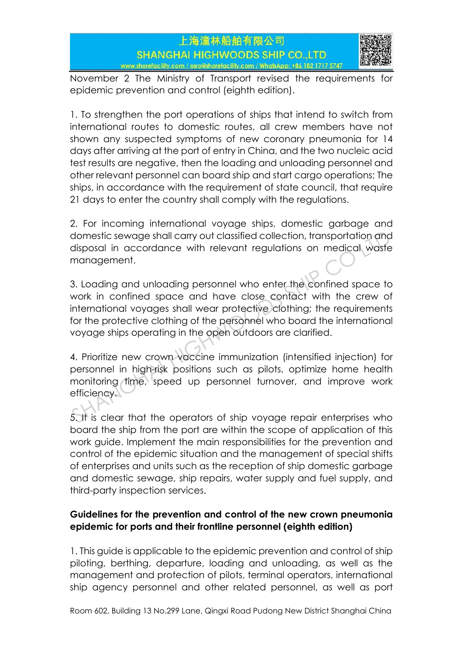

November 2 The Ministry of Transport revised the requirements for epidemic prevention and control (eighth edition).

1. To strengthen the port operations of ships that intend to switch from international routes to domestic routes, all crew members have not shown any suspected symptoms of new coronary pneumonia for 14 days after arriving at the port of entry in China, and the two nucleic acid test results are negative, then the loading and unloading personnel and other relevant personnel can board ship and start cargo operations; The ships, in accordance with the requirement of state council, that require 21 days to enter the country shall comply with the regulations.

2. For incoming international voyage ships, domestic garbage and domestic sewage shall carry out classified collection, transportation and disposal in accordance with relevant regulations on medical waste management.

3. Loading and unloading personnel who enter the confined space to work in confined space and have close contact with the crew of international voyages shall wear protective clothing; the requirements for the protective clothing of the personnel who board the international voyage ships operating in the open outdoors are clarified. domestic sewage shall carry out classified collection, transportation and<br>disposal in accordance with relevant regulations on medical waste<br>management.<br>3. Loading and unloading personnel who enter the confined space to<br>wor

4. Prioritize new crown vaccine immunization (intensified injection) for personnel in high-risk positions such as pilots, optimize home health monitoring time, speed up personnel turnover, and improve work efficiency.

5. It is clear that the operators of ship voyage repair enterprises who board the ship from the port are within the scope of application of this work guide. Implement the main responsibilities for the prevention and control of the epidemic situation and the management of special shifts of enterprises and units such as the reception of ship domestic garbage and domestic sewage, ship repairs, water supply and fuel supply, and third-party inspection services.

# **Guidelines for the prevention and control of the new crown pneumonia epidemic for ports and their frontline personnel (eighth edition)**

1. This guide is applicable to the epidemic prevention and control of ship piloting, berthing, departure, loading and unloading, as well as the management and protection of pilots, terminal operators, international ship agency personnel and other related personnel, as well as port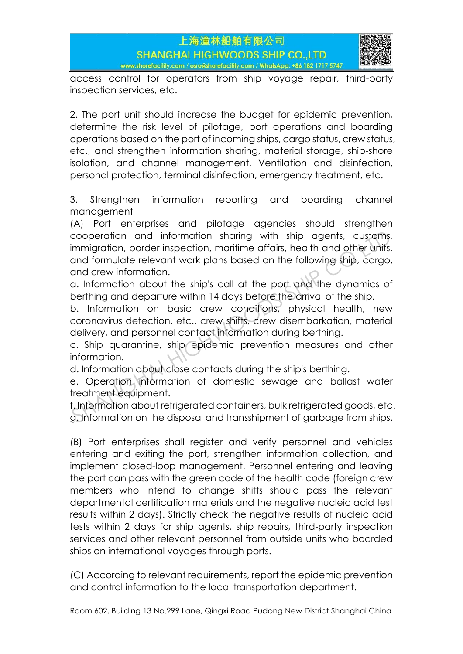

access control for operators from ship voyage repair, third-party inspection services, etc.

2. The port unit should increase the budget for epidemic prevention, determine the risk level of pilotage, port operations and boarding operations based on the port of incoming ships, cargo status, crew status, etc., and strengthen information sharing, material storage, ship-shore isolation, and channel management, Ventilation and disinfection, personal protection, terminal disinfection, emergency treatment, etc.

3. Strengthen information reporting and boarding channel management

(A) Port enterprises and pilotage agencies should strengthen cooperation and information sharing with ship agents, customs, immigration, border inspection, maritime affairs, health and other units, and formulate relevant work plans based on the following ship, cargo, and crew information. cooperation and information sharing with ship agents, customs<br>immigration, border inspection, maritime affairs, health and other units<br>and formulate relevant work plans based on the following ship, cargo<br>and crew informati

a. Information about the ship's call at the port and the dynamics of berthing and departure within 14 days before the arrival of the ship.

b. Information on basic crew conditions, physical health, new coronavirus detection, etc., crew shifts, crew disembarkation, material delivery, and personnel contact information during berthing.

c. Ship quarantine, ship epidemic prevention measures and other information.

d. Information about close contacts during the ship's berthing.

e. Operation information of domestic sewage and ballast water treatment equipment.

f. Information about refrigerated containers, bulk refrigerated goods, etc. g. Information on the disposal and transshipment of garbage from ships.

(B) Port enterprises shall register and verify personnel and vehicles entering and exiting the port, strengthen information collection, and implement closed-loop management. Personnel entering and leaving the port can pass with the green code of the health code (foreign crew members who intend to change shifts should pass the relevant departmental certification materials and the negative nucleic acid test results within 2 days). Strictly check the negative results of nucleic acid tests within 2 days for ship agents, ship repairs, third-party inspection services and other relevant personnel from outside units who boarded ships on international voyages through ports.

(C) According to relevant requirements, report the epidemic prevention and control information to the local transportation department.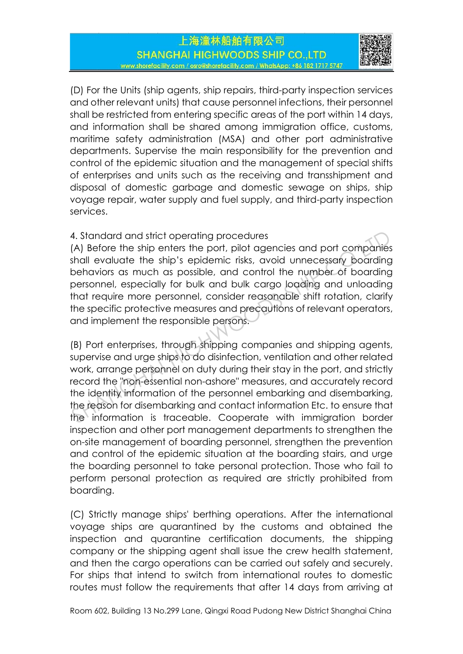

(D) For the Units (ship agents, ship repairs, third-party inspection services and other relevant units) that cause personnel infections, their personnel shall be restricted from entering specific areas of the port within 14 days, and information shall be shared among immigration office, customs, maritime safety administration (MSA) and other port administrative departments. Supervise the main responsibility for the prevention and control of the epidemic situation and the management of special shifts of enterprises and units such as the receiving and transshipment and disposal of domestic garbage and domestic sewage on ships, ship voyage repair, water supply and fuel supply, and third-party inspection services.

# 4. Standard and strict operating procedures

(A) Before the ship enters the port, pilot agencies and port companies shall evaluate the ship's epidemic risks, avoid unnecessary boarding behaviors as much as possible, and control the number of boarding personnel, especially for bulk and bulk cargo loading and unloading that require more personnel, consider reasonable shift rotation, clarify the specific protective measures and precautions of relevant operators, and implement the responsible persons.

(B) Port enterprises, through shipping companies and shipping agents, supervise and urge ships to do disinfection, ventilation and other related work, arrange personnel on duty during their stay in the port, and strictly record the "non-essential non-ashore" measures, and accurately record the identity information of the personnel embarking and disembarking, the reason for disembarking and contact information Etc. to ensure that the information is traceable. Cooperate with immigration border inspection and other port management departments to strengthen the on-site management of boarding personnel, strengthen the prevention and control of the epidemic situation at the boarding stairs, and urge the boarding personnel to take personal protection. Those who fail to perform personal protection as required are strictly prohibited from boarding. 4. Standard and strict operating procedures<br>
(A) Before the ship enters the port, pilot agencies and port companies<br>
shall evaluate the ship's epidemic risks, avoid unnecessary boarding<br>
behaviors as much as possible, and

(C) Strictly manage ships' berthing operations. After the international voyage ships are quarantined by the customs and obtained the inspection and quarantine certification documents, the shipping company or the shipping agent shall issue the crew health statement, and then the cargo operations can be carried out safely and securely. For ships that intend to switch from international routes to domestic routes must follow the requirements that after 14 days from arriving at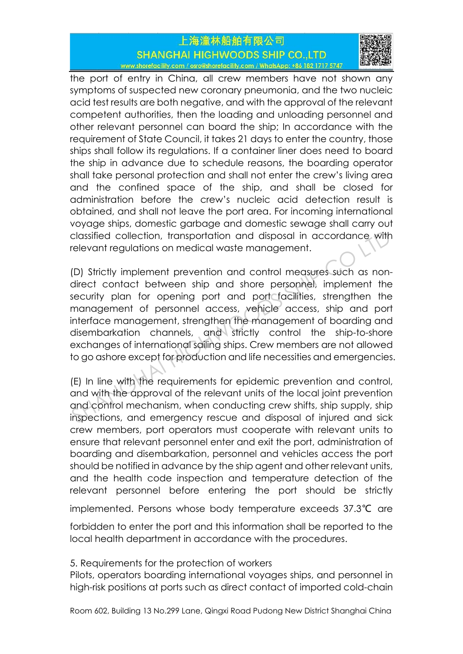

the port of entry in China, all crew members have not shown any symptoms of suspected new coronary pneumonia, and the two nucleic acid test results are both negative, and with the approval of the relevant competent authorities, then the loading and unloading personnel and other relevant personnel can board the ship; In accordance with the requirement of State Council, it takes 21 days to enter the country, those ships shall follow its regulations. If a container liner does need to board the ship in advance due to schedule reasons, the boarding operator shall take personal protection and shall not enter the crew's living area and the confined space of the ship, and shall be closed for administration before the crew's nucleic acid detection result is obtained, and shall not leave the port area. For incoming international voyage ships, domestic garbage and domestic sewage shall carry out classified collection, transportation and disposal in accordance with relevant regulations on medical waste management.

(D) Strictly implement prevention and control measures such as nondirect contact between ship and shore personnel, implement the security plan for opening port and port facilities, strengthen the management of personnel access, vehicle access, ship and port interface management, strengthen the management of boarding and disembarkation channels, and strictly control the ship-to-shore exchanges of international sailing ships. Crew members are not allowed to go ashore except for production and life necessities and emergencies. classified collection, transportation and disposal in accordance with<br>relevant regulations on medical waste management.<br>(D) Strictly implement prevention and control measures such as non-<br>direct contact between ship and sh

(E) In line with the requirements for epidemic prevention and control, and with the approval of the relevant units of the local joint prevention and control mechanism, when conducting crew shifts, ship supply, ship inspections, and emergency rescue and disposal of injured and sick crew members, port operators must cooperate with relevant units to ensure that relevant personnel enter and exit the port, administration of boarding and disembarkation, personnel and vehicles access the port should be notified in advance by the ship agent and other relevant units, and the health code inspection and temperature detection of the relevant personnel before entering the port should be strictly

implemented. Persons whose body temperature exceeds 37.3℃ are

forbidden to enter the port and this information shall be reported to the local health department in accordance with the procedures.

5. Requirements for the protection of workers

Pilots, operators boarding international voyages ships, and personnel in high-risk positions at ports such as direct contact of imported cold-chain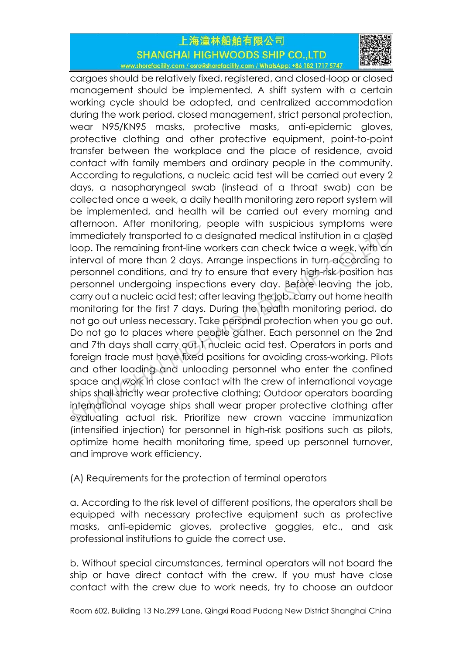

cargoes should be relatively fixed, registered, and closed-loop or closed management should be implemented. A shift system with a certain working cycle should be adopted, and centralized accommodation during the work period, closed management, strict personal protection, wear N95/KN95 masks, protective masks, anti-epidemic gloves, protective clothing and other protective equipment, point-to-point transfer between the workplace and the place of residence, avoid contact with family members and ordinary people in the community. According to regulations, a nucleic acid test will be carried out every 2 days, a nasopharyngeal swab (instead of a throat swab) can be collected once a week, a daily health monitoring zero report system will be implemented, and health will be carried out every morning and afternoon. After monitoring, people with suspicious symptoms were immediately transported to a designated medical institution in a closed loop. The remaining front-line workers can check twice a week, with an interval of more than 2 days. Arrange inspections in turn according to personnel conditions, and try to ensure that every high-risk position has personnel undergoing inspections every day. Before leaving the job, carry out a nucleic acid test; after leaving the job, carry out home health monitoring for the first 7 days. During the health monitoring period, do not go out unless necessary. Take personal protection when you go out. Do not go to places where people gather. Each personnel on the 2nd and 7th days shall carry out 1 nucleic acid test. Operators in ports and foreign trade must have fixed positions for avoiding cross-working. Pilots and other loading and unloading personnel who enter the confined space and work in close contact with the crew of international voyage ships shall strictly wear protective clothing; Outdoor operators boarding international voyage ships shall wear proper protective clothing after evaluating actual risk. Prioritize new crown vaccine immunization (intensified injection) for personnel in high-risk positions such as pilots, optimize home health monitoring time, speed up personnel turnover, and improve work efficiency. immediately transported to a designated medical institution in a closec<br>loop. The remaining front-line workers can check twice a week, with ar<br>interval of more than 2 days. Arrange inspections in turn according to<br>personne

(A) Requirements for the protection of terminal operators

a. According to the risk level of different positions, the operators shall be equipped with necessary protective equipment such as protective masks, anti-epidemic gloves, protective goggles, etc., and ask professional institutions to guide the correct use.

b. Without special circumstances, terminal operators will not board the ship or have direct contact with the crew. If you must have close contact with the crew due to work needs, try to choose an outdoor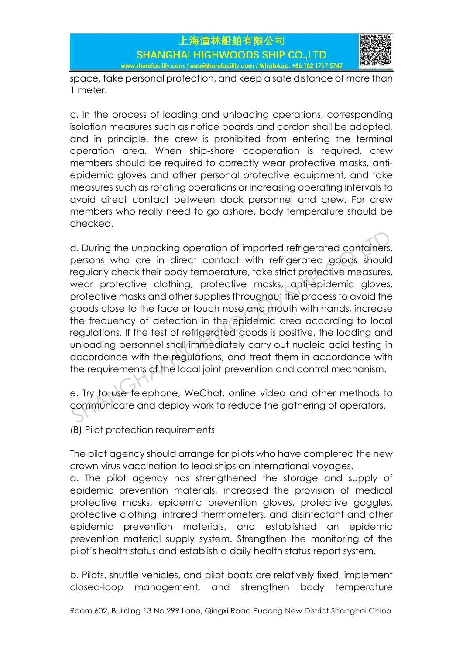



space, take personal protection, and keep a safe distance of more than 1 meter.

c. In the process of loading and unloading operations, corresponding isolation measures such as notice boards and cordon shall be adopted, and in principle, the crew is prohibited from entering the terminal operation area. When ship-shore cooperation is required, crew members should be required to correctly wear protective masks, antiepidemic gloves and other personal protective equipment, and take measures such as rotating operations or increasing operating intervals to avoid direct contact between dock personnel and crew. For crew members who really need to go ashore, body temperature should be checked.

d. During the unpacking operation of imported refrigerated containers, persons who are in direct contact with refrigerated goods should regularly check their body temperature, take strict protective measures, wear protective clothing, protective masks, anti-epidemic gloves, protective masks and other supplies throughout the process to avoid the goods close to the face or touch nose and mouth with hands, increase the frequency of detection in the epidemic area according to local regulations. If the test of refrigerated goods is positive, the loading and unloading personnel shall immediately carry out nucleic acid testing in accordance with the regulations, and treat them in accordance with the requirements of the local joint prevention and control mechanism. d. During the unpacking operation of imported refrigerated containers<br>persons who are in direct contact with refrigerated goods should<br>regularly check their body temperature, take strict protective measures<br>wear protective

e. Try to use telephone, WeChat, online video and other methods to communicate and deploy work to reduce the gathering of operators.

(B) Pilot protection requirements

The pilot agency should arrange for pilots who have completed the new crown virus vaccination to lead ships on international voyages.

a. The pilot agency has strengthened the storage and supply of epidemic prevention materials, increased the provision of medical protective masks, epidemic prevention gloves, protective goggles, protective clothing, infrared thermometers, and disinfectant and other epidemic prevention materials, and established an epidemic prevention material supply system. Strengthen the monitoring of the pilot's health status and establish a daily health status report system.

b. Pilots, shuttle vehicles, and pilot boats are relatively fixed, implement closed-loop management, and strengthen body temperature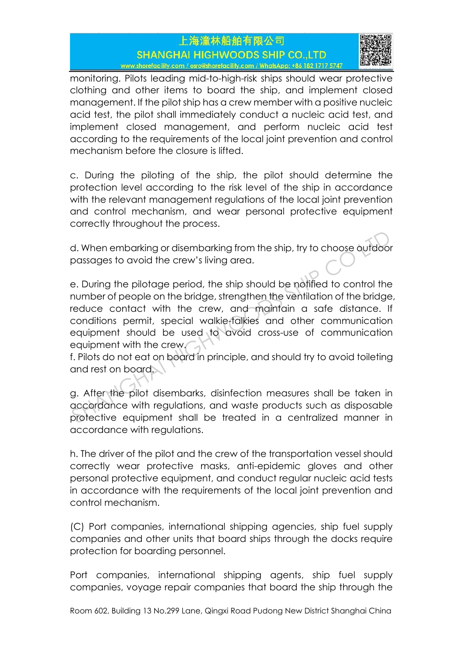

monitoring. Pilots leading mid-to-high-risk ships should wear protective clothing and other items to board the ship, and implement closed management. If the pilot ship has a crew member with a positive nucleic acid test, the pilot shall immediately conduct a nucleic acid test, and implement closed management, and perform nucleic acid test according to the requirements of the local joint prevention and control mechanism before the closure is lifted.

c. During the piloting of the ship, the pilot should determine the protection level according to the risk level of the ship in accordance with the relevant management regulations of the local joint prevention and control mechanism, and wear personal protective equipment correctly throughout the process.

d. When embarking or disembarking from the ship, try to choose outdoor passages to avoid the crew's living area.

e. During the pilotage period, the ship should be notified to control the number of people on the bridge, strengthen the ventilation of the bridge, reduce contact with the crew, and maintain a safe distance. If conditions permit, special walkie-talkies and other communication equipment should be used to avoid cross-use of communication equipment with the crew. d. When embarking or disembarking from the ship, try to choose outdoor<br>passages to avoid the crew's living area.<br>e. During the pilotage period, the ship should be notified to control the<br>number of people on the bridge, str

f. Pilots do not eat on board in principle, and should try to avoid toileting and rest on board.

g. After the pilot disembarks, disinfection measures shall be taken in accordance with regulations, and waste products such as disposable protective equipment shall be treated in a centralized manner in accordance with regulations.

h. The driver of the pilot and the crew of the transportation vessel should correctly wear protective masks, anti-epidemic gloves and other personal protective equipment, and conduct regular nucleic acid tests in accordance with the requirements of the local joint prevention and control mechanism.

(C) Port companies, international shipping agencies, ship fuel supply companies and other units that board ships through the docks require protection for boarding personnel.

Port companies, international shipping agents, ship fuel supply companies, voyage repair companies that board the ship through the

Room 602, Building 13 No.299 Lane, Qingxi Road Pudong New District Shanghai China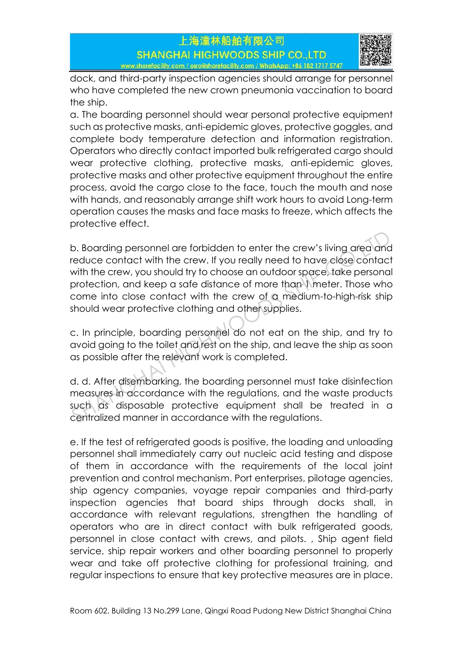

dock, and third-party inspection agencies should arrange for personnel who have completed the new crown pneumonia vaccination to board the ship.

a. The boarding personnel should wear personal protective equipment such as protective masks, anti-epidemic gloves, protective goggles, and complete body temperature detection and information registration. Operators who directly contact imported bulk refrigerated cargo should wear protective clothing, protective masks, anti-epidemic gloves, protective masks and other protective equipment throughout the entire process, avoid the cargo close to the face, touch the mouth and nose with hands, and reasonably arrange shift work hours to avoid Long-term operation causes the masks and face masks to freeze, which affects the protective effect.

b. Boarding personnel are forbidden to enter the crew's living area and reduce contact with the crew. If you really need to have close contact with the crew, you should try to choose an outdoor space, take personal protection, and keep a safe distance of more than 1 meter. Those who come into close contact with the crew of a medium-to-high-risk ship should wear protective clothing and other supplies. b. Boarding personnel are forbidden to enter the crew's living area and<br>reduce contact with the crew. If you really need to have close contact<br>with the crew, you should try to choose an outdoor space, take persona<br>protecti

c. In principle, boarding personnel do not eat on the ship, and try to avoid going to the toilet and rest on the ship, and leave the ship as soon as possible after the relevant work is completed.

d. d. After disembarking, the boarding personnel must take disinfection measures in accordance with the regulations, and the waste products such as disposable protective equipment shall be treated in a centralized manner in accordance with the regulations.

e. If the test of refrigerated goods is positive, the loading and unloading personnel shall immediately carry out nucleic acid testing and dispose of them in accordance with the requirements of the local joint prevention and control mechanism. Port enterprises, pilotage agencies, ship agency companies, voyage repair companies and third-party inspection agencies that board ships through docks shall, in accordance with relevant regulations, strengthen the handling of operators who are in direct contact with bulk refrigerated goods, personnel in close contact with crews, and pilots. , Ship agent field service, ship repair workers and other boarding personnel to properly wear and take off protective clothing for professional training, and regular inspections to ensure that key protective measures are in place.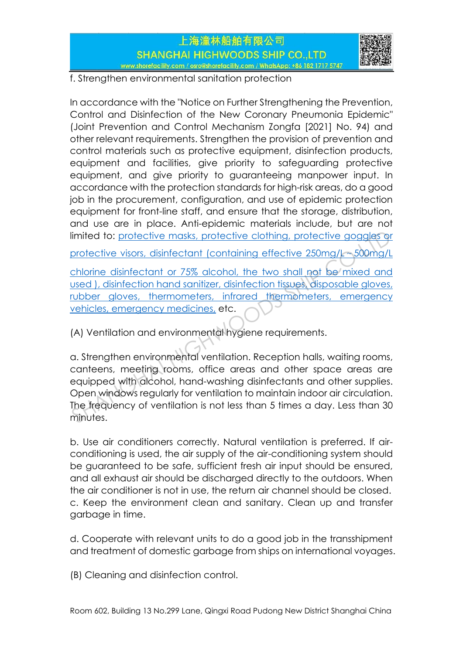



f. Strengthen environmental sanitation protection

In accordance with the "Notice on Further Strengthening the Prevention, Control and Disinfection of the New Coronary Pneumonia Epidemic" (Joint Prevention and Control Mechanism Zongfa [2021] No. 94) and other relevant requirements. Strengthen the provision of prevention and control materials such as protective equipment, disinfection products, equipment and facilities, give priority to safeguarding protective equipment, and give priority to guaranteeing manpower input. In accordance with the protection standards for high-risk areas, do a good job in the procurement, configuration, and use of epidemic protection equipment for front-line staff, and ensure that the storage, distribution, and use are in place. Anti-epidemic materials include, but are not limited to: protective masks, protective clothing, protective goggles or

protective visors, disinfectant (containing effective 250mg/L~500mg/L

chlorine disinfectant or 75% alcohol, the two shall not be mixed and used ), disinfection hand sanitizer, disinfection tissues, disposable gloves, rubber gloves, thermometers, infrared thermometers, emergency vehicles, emergency medicines, etc.

(A) Ventilation and environmental hygiene requirements.

a. Strengthen environmental ventilation. Reception halls, waiting rooms, canteens, meeting rooms, office areas and other space areas are equipped with alcohol, hand-washing disinfectants and other supplies. Open windows regularly for ventilation to maintain indoor air circulation. The frequency of ventilation is not less than 5 times a day. Less than 30 minutes. Ilmited to: <u>protective masks, protective clothing, protective goggles of protective visors, disinfectant (containing effective 250mg/Less) chlorine disinfectant or 75% alcohol, the two shall not be mixed and used ), disin</u>

b. Use air conditioners correctly. Natural ventilation is preferred. If airconditioning is used, the air supply of the air-conditioning system should be guaranteed to be safe, sufficient fresh air input should be ensured, and all exhaust air should be discharged directly to the outdoors. When the air conditioner is not in use, the return air channel should be closed. c. Keep the environment clean and sanitary. Clean up and transfer garbage in time.

d. Cooperate with relevant units to do a good job in the transshipment and treatment of domestic garbage from ships on international voyages.

(B) Cleaning and disinfection control.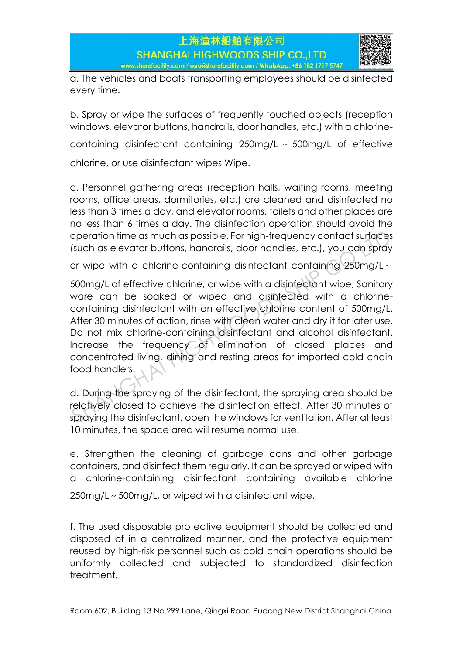

a. The vehicles and boats transporting employees should be disinfected every time.

b. Spray or wipe the surfaces of frequently touched objects (reception windows, elevator buttons, handrails, door handles, etc.) with a chlorine-

containing disinfectant containing 250mg/L ~ 500mg/L of effective

chlorine, or use disinfectant wipes Wipe.

c. Personnel gathering areas (reception halls, waiting rooms, meeting rooms, office areas, dormitories, etc.) are cleaned and disinfected no less than 3 times a day, and elevator rooms, toilets and other places are no less than 6 times a day. The disinfection operation should avoid the operation time as much as possible. For high-frequency contact surfaces (such as elevator buttons, handrails, door handles, etc.), you can spray

or wipe with a chlorine-containing disinfectant containing  $250$ mg/L $\sim$ 

500mg/L of effective chlorine, or wipe with a disinfectant wipe; Sanitary ware can be soaked or wiped and disinfected with a chlorinecontaining disinfectant with an effective chlorine content of 500mg/L. After 30 minutes of action, rinse with clean water and dry it for later use. Do not mix chlorine-containing disinfectant and alcohol disinfectant. Increase the frequency of elimination of closed places and concentrated living, dining and resting areas for imported cold chain food handlers. operation time as much as possible. For high-frequency contact surfaces<br>(such as elevator buttons, handrails, door handles, etc.), you can spray<br>or wipe with a chlorine-containing disinfectant containing 250mg/L ~<br>500mg/L

d. During the spraying of the disinfectant, the spraying area should be relatively closed to achieve the disinfection effect. After 30 minutes of spraying the disinfectant, open the windows for ventilation. After at least 10 minutes, the space area will resume normal use.

e. Strengthen the cleaning of garbage cans and other garbage containers, and disinfect them regularly. It can be sprayed or wiped with a chlorine-containing disinfectant containing available chlorine 250mg/L~500mg/L, or wiped with a disinfectant wipe.

f. The used disposable protective equipment should be collected and disposed of in a centralized manner, and the protective equipment reused by high-risk personnel such as cold chain operations should be uniformly collected and subjected to standardized disinfection treatment.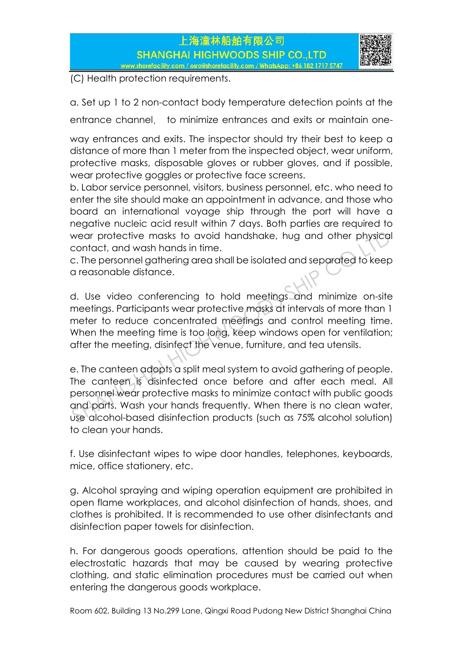

(C) Health protection requirements.

a. Set up 1 to 2 non-contact body temperature detection points at the

entrance channel, to minimize entrances and exits or maintain one-

way entrances and exits. The inspector should try their best to keep a distance of more than 1 meter from the inspected object, wear uniform, protective masks, disposable gloves or rubber gloves, and if possible, wear protective goggles or protective face screens.

b. Labor service personnel, visitors, business personnel, etc. who need to enter the site should make an appointment in advance, and those who board an international voyage ship through the port will have a negative nucleic acid result within 7 days. Both parties are required to wear protective masks to avoid handshake, hug and other physical contact, and wash hands in time.

c. The personnel gathering area shall be isolated and separated to keep a reasonable distance.

d. Use video conferencing to hold meetings and minimize on-site meetings. Participants wear protective masks at intervals of more than 1 meter to reduce concentrated meetings and control meeting time. When the meeting time is too long, keep windows open for ventilation; after the meeting, disinfect the venue, furniture, and tea utensils.

e. The canteen adopts a split meal system to avoid gathering of people. The canteen is disinfected once before and after each meal. All personnel wear protective masks to minimize contact with public goods and parts. Wash your hands frequently. When there is no clean water, use alcohol-based disinfection products (such as 75% alcohol solution) to clean your hands. wear protective masks to avoid handshake, hug and other physica<br>contact, and wash hands in time.<br>C. The personnel gathering area shall be isolated and separated to keep<br>a reasonable distance.<br>d. Use video conferencing to h

f. Use disinfectant wipes to wipe door handles, telephones, keyboards, mice, office stationery, etc.

g. Alcohol spraying and wiping operation equipment are prohibited in open flame workplaces, and alcohol disinfection of hands, shoes, and clothes is prohibited. It is recommended to use other disinfectants and disinfection paper towels for disinfection.

h. For dangerous goods operations, attention should be paid to the electrostatic hazards that may be caused by wearing protective clothing, and static elimination procedures must be carried out when entering the dangerous goods workplace.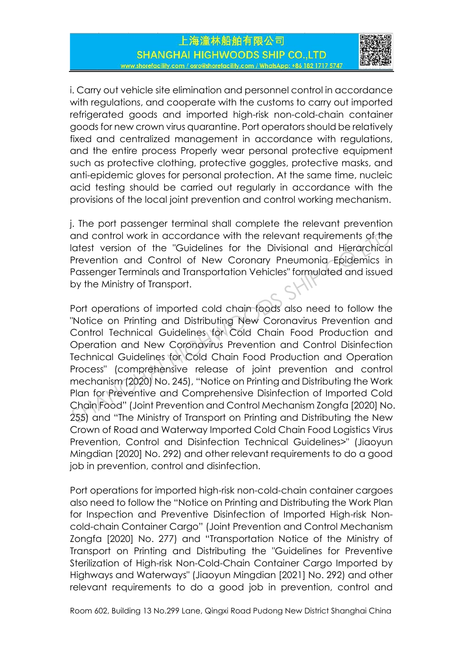

i. Carry out vehicle site elimination and personnel control in accordance with regulations, and cooperate with the customs to carry out imported refrigerated goods and imported high-risk non-cold-chain container goods for new crown virus quarantine. Port operators should be relatively fixed and centralized management in accordance with regulations, and the entire process Properly wear personal protective equipment such as protective clothing, protective goggles, protective masks, and anti-epidemic gloves for personal protection. At the same time, nucleic acid testing should be carried out regularly in accordance with the provisions of the local joint prevention and control working mechanism.

j. The port passenger terminal shall complete the relevant prevention and control work in accordance with the relevant requirements of the latest version of the "Guidelines for the Divisional and Hierarchical Prevention and Control of New Coronary Pneumonia Epidemics in Passenger Terminals and Transportation Vehicles" formulated and issued by the Ministry of Transport.

Port operations of imported cold chain foods also need to follow the "Notice on Printing and Distributing New Coronavirus Prevention and Control Technical Guidelines for Cold Chain Food Production and Operation and New Coronavirus Prevention and Control Disinfection Technical Guidelines for Cold Chain Food Production and Operation Process" (comprehensive release of joint prevention and control mechanism (2020) No. 245), "Notice on Printing and Distributing the Work Plan for Preventive and Comprehensive Disinfection of Imported Cold Chain Food" (Joint Prevention and Control Mechanism Zongfa [2020] No. 255) and "The Ministry of Transport on Printing and Distributing the New Crown of Road and Waterway Imported Cold Chain Food Logistics Virus Prevention, Control and Disinfection Technical Guidelines>" (Jiaoyun Mingdian [2020] No. 292) and other relevant requirements to do a good job in prevention, control and disinfection. and control work in accordance with the relevant requirements of the latest version of the "Guidelines for the Divisional and Hierarchica Prevention and Control of New Coronary Pneumonia Epidemics ir Passenger Terminals an

Port operations for imported high-risk non-cold-chain container cargoes also need to follow the "Notice on Printing and Distributing the Work Plan for Inspection and Preventive Disinfection of Imported High-risk Noncold-chain Container Cargo" (Joint Prevention and Control Mechanism Zongfa [2020] No. 277) and "Transportation Notice of the Ministry of Transport on Printing and Distributing the "Guidelines for Preventive Sterilization of High-risk Non-Cold-Chain Container Cargo Imported by Highways and Waterways" (Jiaoyun Mingdian [2021] No. 292) and other relevant requirements to do a good job in prevention, control and